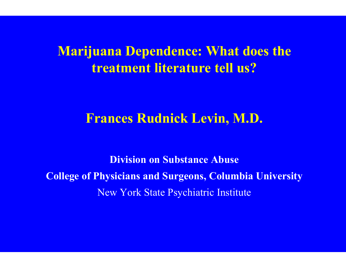#### **Marijuana Dependence: What does the treatment literature tell us?**

#### **Frances Rudnick Levin, M.D.**

**Division on Substance AbuseCollege of Physicians and Surgeons, Columbia University** New York State Psychiatric Institute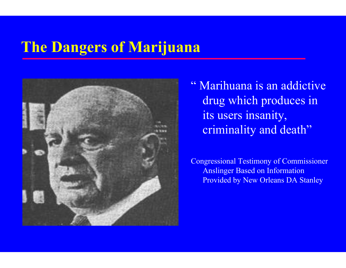#### **The Dangers of Marijuana**



" Marihuana is an addictive drug which produces in its users insanity, criminality and death"

Congressional Testimon y of Commissioner Anslinger Based on Information Provided by New Orleans DA S tanley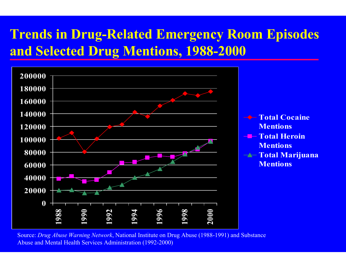#### **Trends in Drug-Related Emergency Room Episodes and Selected Drug Mentions, 1988-2000**



Source: *Drug Abuse Warning Network*, National Institute on Drug Abuse (1988-1991) and Substance Abuse and Mental Health Services Administration (1992-2000)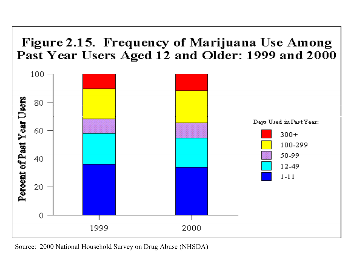#### Figure 2.15. Frequency of Marijuana Use Among Past Year Users Aged 12 and Older: 1999 and 2000



Source: 2000 National Household Survey on Drug Abuse (NHSDA)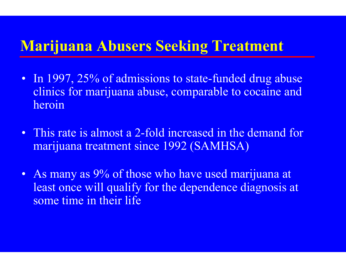#### **Marijuana Abusers Seeking Treatment**

- In 1997, 25% of admissions to state-funded drug abuse clinics for m arijuana abuse, comparable t o cocaine and heroin
- This rate is almost a 2-fold increased in the demand for marijuana treatment since 1992 (SAMHSA)
- As many as 9% of those who have used marijuana at least once will qualify for the dependence diagnosis at som e time in their life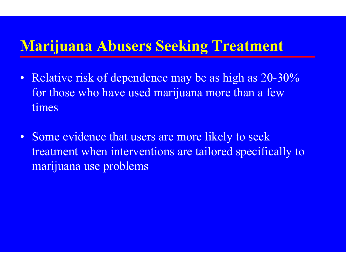#### **Marijuana Abusers Seeking Treatment**

- Relative risk of dependence may be as high as 20-30% for those who have used m arijuana m ore than a few times
- Some evidence that users are more likely to seek treatm ent when interventions are tailored specifically to marijuana use problems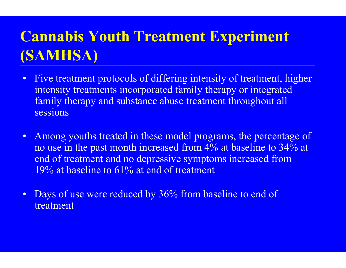## **Cannabis Youth Treatment Experiment (SAMHSA)**

- $\bullet$ Five treatment protocols of differing intensity of treatment, higher intensity treatments incorporated family therapy or integrated family therapy and substance abuse treatment throughout all sessions
- •A mong youths treated in these model programs, the percentage of no use in the past month increased from 4% at baseline to 34% at end of treatm ent and no depressive symptom s increased from 19% at baseline to 61% at end of treatment
- $\bullet$ Days of use were reduced by 36% from baseline to end of treatment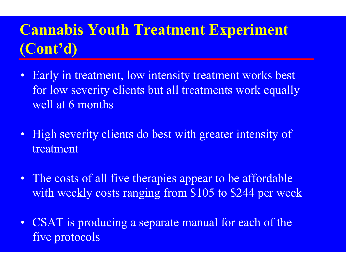# **Cannabis Youth Treatment Experiment (Cont'd)**

- •Early in treatm ent, low intensity treatm ent works best for low severity clients but all treatments work equally well at 6 months
- High severity clients do best with greater intensity of treatment
- The costs of all five therapies appear to be affordable with weekly costs ranging from \$105 to \$244 per week
- CSAT is producing a separate manual for each of the five protocols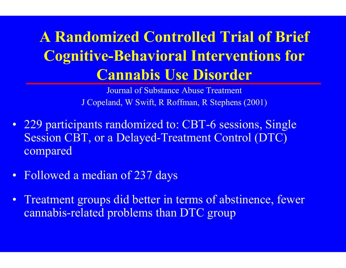# **A Randomized Controlled Trial of Brief Cognitive-Behavioral Interventions for Cannabis Use Disorder**

Jour n a l of Substan ce Abuse Treatme n t J C opel and, W Swi ft, R R o ffman, R Stephens ( 200 1 )

- 229 participants randomized to: CBT-6 sessions, Single Session CBT, or a Delayed-Treatment Control (DTC) compared
- Followed a m edian of 237 days
- Treatment groups did better in terms of abstinence, fewer cannabis-related problem s than DTC group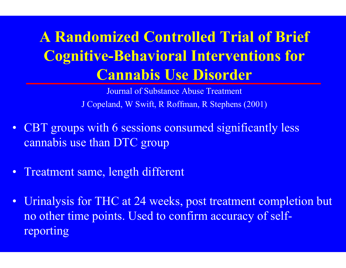# **A Randomized Controlled Trial of Brief Cognitive-Behavioral Interventions for Cannabis Use Disorder**

Jour nal of Substance Abuse Treatment J C opel and, W Swi ft, R R o ffman, R Stephens ( 200 1 )

- CBT groups with 6 sessions consumed significantly less cannabis use than DTC group
- Treatm ent sam e, length different
- Urinalysis for THC at 24 weeks, post treatment completion but no other t i me points. Used to confirm accuracy of selfreporting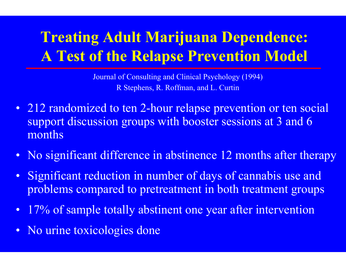## **Treating Adult Marijuana Dependence: A Test of the Relapse Prevention Model**

Journal of Consulting and Clinical Psychology (1994) R Stephens, R. Roffman, and L. Curtin

- 212 randomized to ten 2-hour relapse prevention or ten social support discussion groups with booster sessions at 3 and 6 months
- No significant difference in abstinence 12 months after therapy
- Significant reduction in number of days of cannabis use and problems compared to pretreatment in both treatment groups
- •17% of sample totally abstinent one year after intervention
- No urine toxicologies done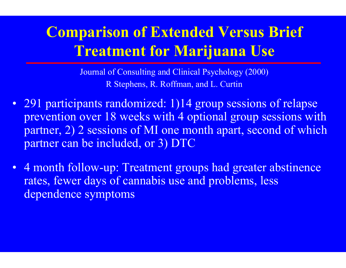#### **Comparison of Extended Versus Brief Treatment for Marijuana Use**

Journal of Consulting and Clinical Psychology (2000) R Stephens, R. Roffman, and L. Curtin

- 291 participants randomized: 1)14 group sessions of relapse prevention over 18 weeks with 4 optional group sessions wit h partner, 2) 2 sessions of MI one month apart, second of which partner can be included, or 3) DTC
- 4 month follow-up: Treatment groups had greater abstinence rates, fewer days of cannabis use and problem s, less dependence symptom s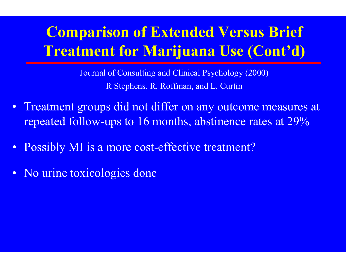## **Comparison of Extended Versus Brief Treatment for Marijuana Use (Cont'd)**

Journal of Consulting and Clinical Psychology (2000) R Steph ens, R. Roffm a n, and L. Curti n

- Treatment groups did not differ on any outcome measures at repeated follow-ups to 16 months, abstinence rates at 29%
- Possibly MI is a more cost-effective treatment?
- No urine toxicologies done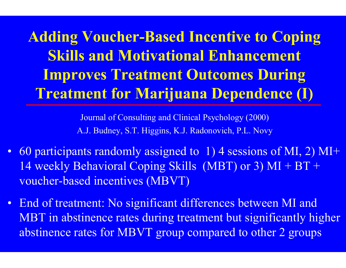**Adding Voucher-Based Incentive to Coping Skills and Motivational Enhancement Improves Treatment Outcomes During Treatment for Marijuana Dependence (I)**

> Journal of Consulting and Clinical Psychology (2000) A.J. Budney, S.T. Higgins, K.J. Radonovich, P.L. Novy

- 60 participants randomly assigned to 1) 4 sessions of MI, 2) MI+ 14 weekly Behavioral Coping Skills (MBT) or 3) MI + BT + voucher-based incentives (MBVT)
- End of treatment: No significant differences between MI and MBT in abstinence rates during treatment but significantly higher absti nence rates for MBVT group compared to other 2 groups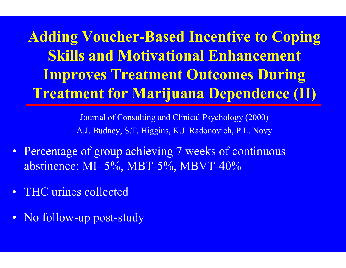**Adding Voucher-Based Incentive to Coping Skills and Motivational Enhancement Improves Treatment Outcomes During Treatment for Marijuana Dependence (II)**

> Journal of Consulting and Clinical Psychology (2000) A.J. Budney, S.T. Higgins, K.J. Radonovich, P.L. Novy

- Percentage of group achieving 7 weeks of continuous abstinence: MI-5 %, MBT-5 %, MBVT-40%
- THC urines collected
- No follow-up post-study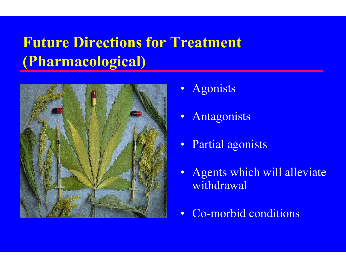# **Future Directions for Treatment (Pharmacological)**



- •Agonist s
- •Antagonist s
- Partial agonists
- Agents which will alleviate withdrawal
- Co-morbid conditions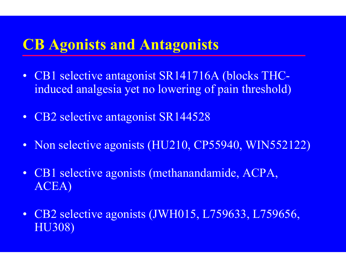#### **CB Agonists and Antagonists**

- CB1 selective antagonist SR141716A (blocks THCinduce d analgesia yet no lowering of pain threshold)
- CB2 selective antagonist SR144528
- Non selective agonists (HU210, CP55940, WIN552122)
- CB1 selective agonists (methanandam ide, ACPA, ACEA)
- CB2 selective agonists (JWH015, L759633, L759656, HU308)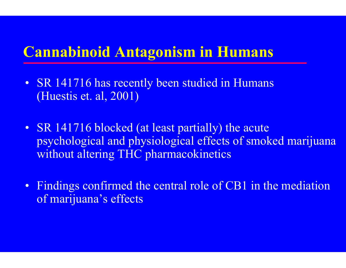#### **Cannabinoid Antagonism in Humans**

- SR 141716 has recently been studied in Humans (Huestis et. al, 2001)
- SR 141716 blocked (at least partially) the acute psychological and physiological effects of smoked marijuana without alt ering THC pharmacokinet ics
- Findings confirmed the central role of CB1 in the mediation of marijuana's effects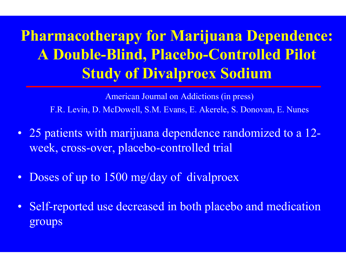# **Pharmacotherapy for Marijuana Dependence: A Double-Blind, Placebo-Controlled Pilot Study of Divalproex Sodium**

A merican Journ al on Addicti ons (in press) F.R. Levin, D. McDowell, S.M. Evans, E. Akerele, S. Donovan, E. Nunes

- 25 patients with marijuana dependence randomized to a 12 week, cross-over, placebo-controlled trial
- Doses of up to 1500 mg/day of divalproex
- •Self-reported use decreased in both placebo and medication groups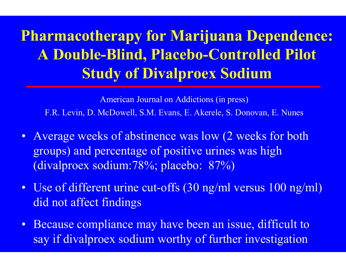# **Pharmacotherapy for Marijuana Dependence: A Double-Blind, Placebo-Controlled Pilot Study of Divalproex Sodium**

A merican Journ al on Addicti ons (in press) F.R. Levin, D. McDowell, S.M. Evans, E. Akerele, S. Donovan, E. Nunes

- Average weeks of abstinence was low (2 weeks for both groups) and percentage of positive urines was high (divalproe x sodium:78%; placebo: 87%)
- Use of different urine cut-offs (30 ng/ml versus 100 ng/ml) did not affect findings
- Because compliance may have been an issue, difficult to say if divalproex sodium worthy of further investigation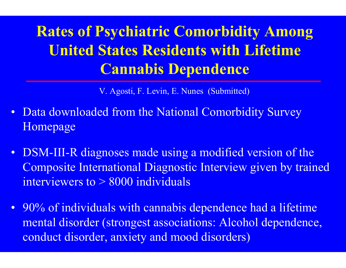**Rates of Psychiatric Comorbidity Among United States Residents with Lifetime Cannabis Dependence**

V. Agosti, F. Levin, E. Nunes (Submitted)

- Data downloaded from the National Comorbidity Survey Hom epage
- DSM-III-R diagnoses made using a modified version of the Composite International Diagnostic Interview given by trained interviewers to > 8000 individuals
- 90% of individuals with cannabis dependence had a lifetime m ental disorder (strongest associations: Alcohol dependence, conduct disorder, anxiety and mood disorders)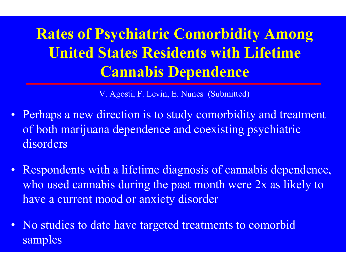# **Rates of Psychiatric Comorbidity Among United States Residents with Lifetime Cannabis Dependence**

V. Agosti, F. Levin, E. Nunes (Submitted)

- Perhaps a new direction is to study comorbidity and treatment of both m arijuana dependence and coexisting psychiatric disorders
- Respondents with a lifetime diagnosis of cannabis dependence, who used cannabis during t he past month were 2x as likely to have a current mood or anxiety disorder
- No studies to date have targeted treatments to comorbid samples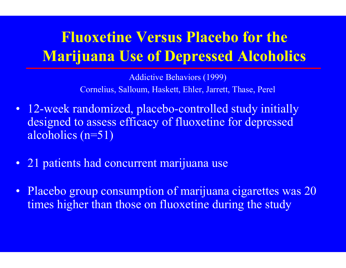### **Fluoxetine Versus Placebo for the Marijuana Use of Depressed Alcoholics**

Addictive Behaviors (1999) Cornelius, Salloum, Haskett, Ehler, Jarrett, Thase, Perel

- 12-week randomized, placebo-controlled study initially designed to assess efficacy of fluoxetine for depressed alcoholics (n=51)
- 21 patients had concurrent marijuana use
- Placebo group consumption of marijuana cigarettes was 20 times higher than those on fluoxetine during the study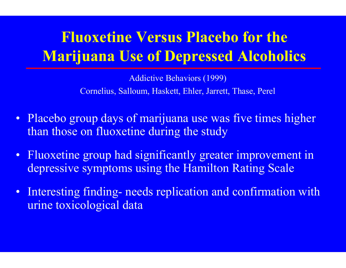## **Fluoxetine Versus Placebo for the Marijuana Use of Depressed Alcoholics**

Addictive Behaviors (1999) Cornelius, Salloum, Haskett, Ehler, Jarrett, Thase, Perel

- Placebo group days of marijuana use was five times higher than those on fluoxetine during the study
- Fluoxetine group had significantly greater improvement in depressive symptoms using the Hamilton Rating Scale
- • Interesting finding- needs replication and confirmation with urine toxicological data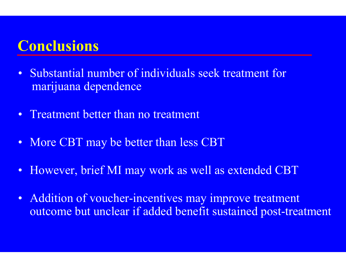#### **Conclusions**

- • Substantial number of individuals seek treatment for marijuana dependence
- •Treatment better than no treatment
- More CBT may be better than less CBT
- However, brief MI may work as well as extended CBT
- • Addition of voucher-incentives may improve treatment outcome but unclear if added benefit sustained post-treatment